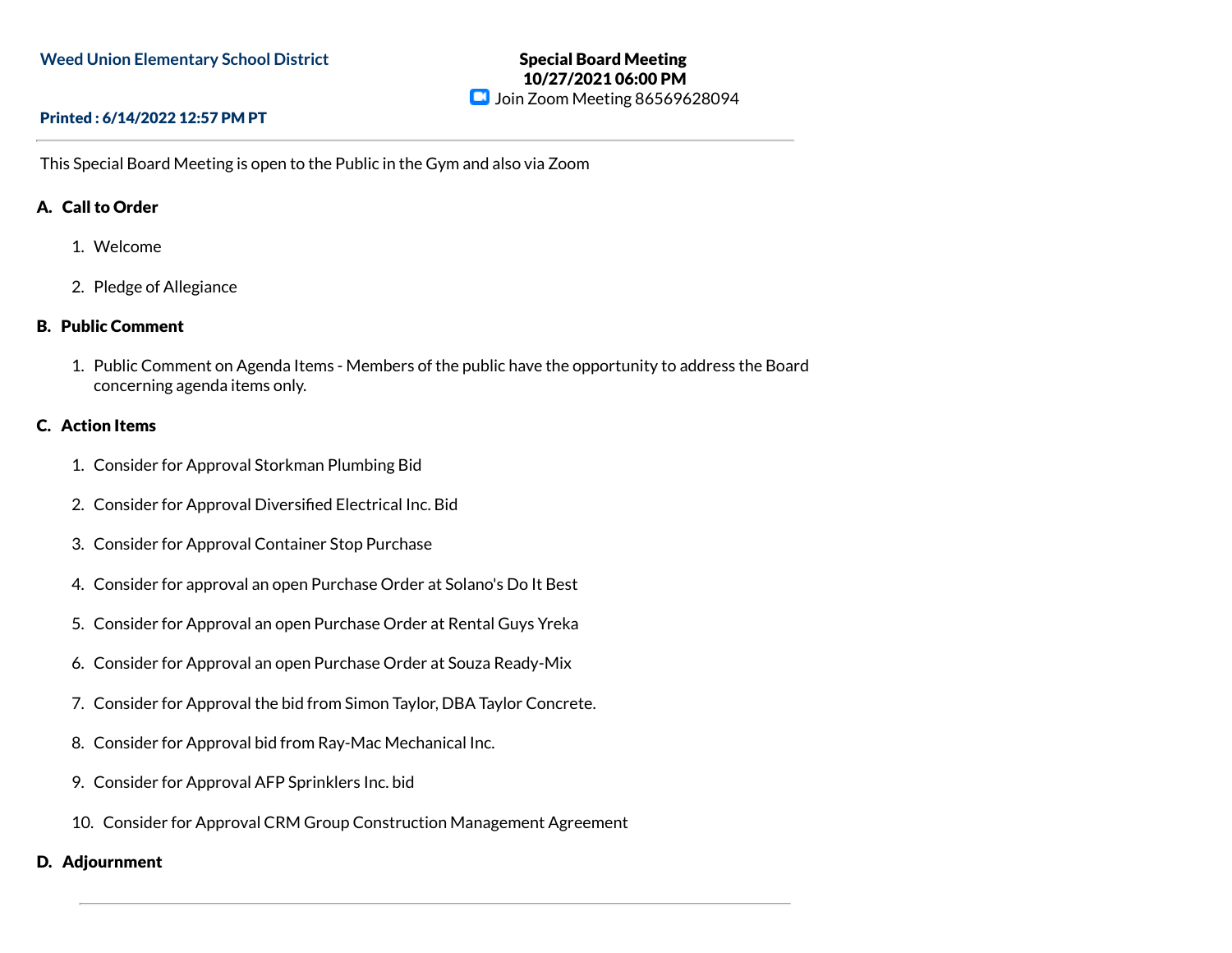# Special Board Meeting 10/27/2021 06:00 PM **D** Join Zoom Meeting 86569628094

### Printed : 6/14/2022 12:57 PM PT

This Special Board Meeting is open to the Public in the Gym and also via Zoom

## A. Call to Order

- 1. Welcome
- 2. Pledge of Allegiance

### B. Public Comment

1. Public Comment on Agenda Items - Members of the public have the opportunity to address the Board concerning agenda items only.

# C. Action Items

- 1. Consider for Approval Storkman Plumbing Bid
- 2. Consider for Approval Diversified Electrical Inc. Bid
- 3. Consider for Approval Container Stop Purchase
- 4. Consider for approval an open Purchase Order at Solano's Do It Best
- 5. Consider for Approval an open Purchase Order at Rental Guys Yreka
- 6. Consider for Approval an open Purchase Order at Souza Ready-Mix
- 7. Consider for Approval the bid from Simon Taylor, DBA Taylor Concrete.
- 8. Consider for Approval bid from Ray-Mac Mechanical Inc.
- 9. Consider for Approval AFP Sprinklers Inc. bid
- 10. Consider for Approval CRM Group Construction Management Agreement

### D. Adjournment